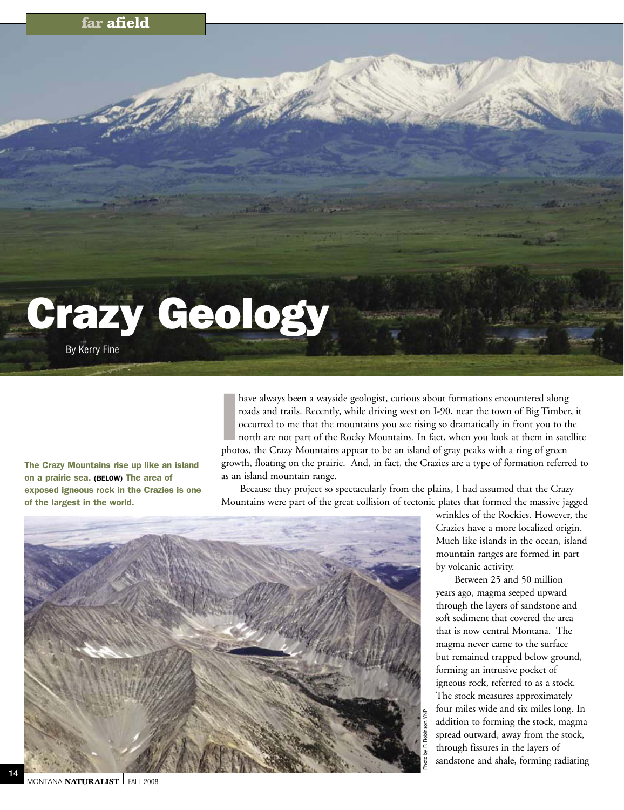## **far afield**

## Crazy Geology

By Kerry Fine

The Crazy Mountains rise up like an island on a prairie sea. (Below) The area of exposed igneous rock in the Crazies is one of the largest in the world.

have always been a wayside geologist, curious about formations encountered along<br>roads and trails. Recently, while driving west on I-90, near the town of Big Timbe<br>occurred to me that the mountains you see rising so dramat have always been a wayside geologist, curious about formations encountered along roads and trails. Recently, while driving west on I-90, near the town of Big Timber, it occurred to me that the mountains you see rising so dramatically in front you to the north are not part of the Rocky Mountains. In fact, when you look at them in satellite growth, floating on the prairie. And, in fact, the Crazies are a type of formation referred to as an island mountain range.

Because they project so spectacularly from the plains, I had assumed that the Crazy Mountains were part of the great collision of tectonic plates that formed the massive jagged



wrinkles of the Rockies. However, the Crazies have a more localized origin. Much like islands in the ocean, island mountain ranges are formed in part by volcanic activity.

Between 25 and 50 million years ago, magma seeped upward through the layers of sandstone and soft sediment that covered the area that is now central Montana. The magma never came to the surface but remained trapped below ground, forming an intrusive pocket of igneous rock, referred to as a stock. The stock measures approximately four miles wide and six miles long. In addition to forming the stock, magma spread outward, away from the stock, through fissures in the layers of sandstone and shale, forming radiating